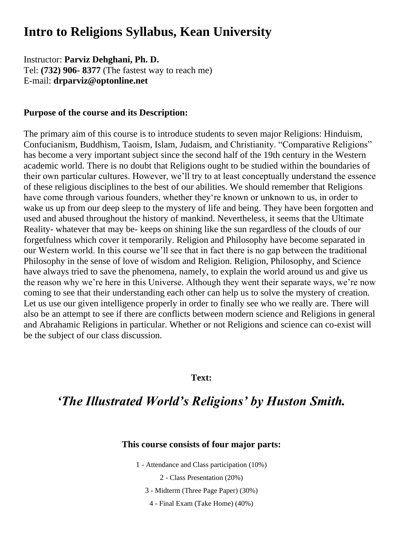# **Intro to Religions Syllabus, Kean University**

Instructor: **Parviz Dehghani, Ph. D.**  Tel: **(732) 906- 8377** (The fastest way to reach me) E-mail: **drparviz@optonline.net** 

#### **Purpose of the course and its Description:**

The primary aim of this course is to introduce students to seven major Religions: Hinduism, Confucianism, Buddhism, Taoism, Islam, Judaism, and Christianity. "Comparative Religions" has become a very important subject since the second half of the 19th century in the Western academic world. There is no doubt that Religions ought to be studied within the boundaries of their own particular cultures. However, we'll try to at least conceptually understand the essence of these religious disciplines to the best of our abilities. We should remember that Religions have come through various founders, whether they're known or unknown to us, in order to wake us up from our deep sleep to the mystery of life and being. They have been forgotten and used and abused throughout the history of mankind. Nevertheless, it seems that the Ultimate Reality- whatever that may be- keeps on shining like the sun regardless of the clouds of our forgetfulness which cover it temporarily. Religion and Philosophy have become separated in our Western world. In this course we'll see that in fact there is no gap between the traditional Philosophy in the sense of love of wisdom and Religion. Religion, Philosophy, and Science have always tried to save the phenomena, namely, to explain the world around us and give us the reason why we're here in this Universe. Although they went their separate ways, we're now coming to see that their understanding each other can help us to solve the mystery of creation. Let us use our given intelligence properly in order to finally see who we really are. There will also be an attempt to see if there are conflicts between modern science and Religions in general and Abrahamic Religions in particular. Whether or not Religions and science can co-exist will be the subject of our class discussion.

#### **Text:**

## *'The Illustrated World's Religions' by Huston Smith.*

### **This course consists of four major parts:**

1 - Attendance and Class participation (10%)

2 - Class Presentation (20%)

3 - Midterm (Three Page Paper) (30%)

4 - Final Exam (Take Home) (40%)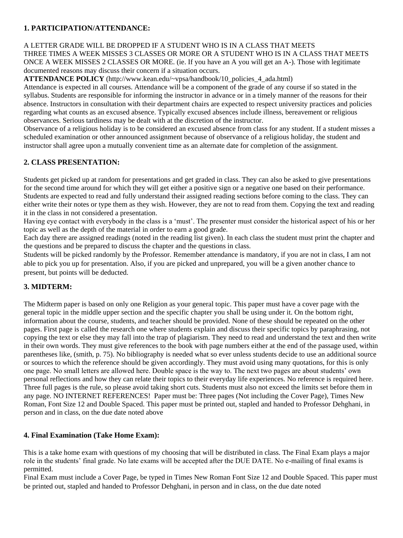### **1. PARTICIPATION/ATTENDANCE:**

#### A LETTER GRADE WILL BE DROPPED IF A STUDENT WHO IS IN A CLASS THAT MEETS THREE TIMES A WEEK MISSES 3 CLASSES OR MORE OR A STUDENT WHO IS IN A CLASS THAT MEETS ONCE A WEEK MISSES 2 CLASSES OR MORE. (ie. If you have an A you will get an A-). Those with legitimate documented reasons may discuss their concern if a situation occurs.

**ATTENDANCE POLICY** (http://www.kean.edu/~vpsa/handbook/10\_policies\_4\_ada.html)

Attendance is expected in all courses. Attendance will be a component of the grade of any course if so stated in the syllabus. Students are responsible for informing the instructor in advance or in a timely manner of the reasons for their absence. Instructors in consultation with their department chairs are expected to respect university practices and policies regarding what counts as an excused absence. Typically excused absences include illness, bereavement or religious observances. Serious tardiness may be dealt with at the discretion of the instructor.

Observance of a religious holiday is to be considered an excused absence from class for any student. If a student misses a scheduled examination or other announced assignment because of observance of a religious holiday, the student and instructor shall agree upon a mutually convenient time as an alternate date for completion of the assignment.

#### **2. CLASS PRESENTATION:**

Students get picked up at random for presentations and get graded in class. They can also be asked to give presentations for the second time around for which they will get either a positive sign or a negative one based on their performance. Students are expected to read and fully understand their assigned reading sections before coming to the class. They can either write their notes or type them as they wish. However, they are not to read from them. Copying the text and reading it in the class in not considered a presentation.

Having eye contact with everybody in the class is a 'must'. The presenter must consider the historical aspect of his or her topic as well as the depth of the material in order to earn a good grade.

Each day there are assigned readings (noted in the reading list given). In each class the student must print the chapter and the questions and be prepared to discuss the chapter and the questions in class.

Students will be picked randomly by the Professor. Remember attendance is mandatory, if you are not in class, I am not able to pick you up for presentation. Also, if you are picked and unprepared, you will be a given another chance to present, but points will be deducted.

### **3. MIDTERM:**

The Midterm paper is based on only one Religion as your general topic. This paper must have a cover page with the general topic in the middle upper section and the specific chapter you shall be using under it. On the bottom right, information about the course, students, and teacher should be provided. None of these should be repeated on the other pages. First page is called the research one where students explain and discuss their specific topics by paraphrasing, not copying the text or else they may fall into the trap of plagiarism. They need to read and understand the text and then write in their own words. They must give references to the book with page numbers either at the end of the passage used, within parentheses like, (smith, p. 75). No bibliography is needed what so ever unless students decide to use an additional source or sources to which the reference should be given accordingly. They must avoid using many quotations, for this is only one page. No small letters are allowed here. Double space is the way to. The next two pages are about students' own personal reflections and how they can relate their topics to their everyday life experiences. No reference is required here. Three full pages is the rule, so please avoid taking short cuts. Students must also not exceed the limits set before them in any page. NO INTERNET REFERENCES! Paper must be: Three pages (Not including the Cover Page), Times New Roman, Font Size 12 and Double Spaced. This paper must be printed out, stapled and handed to Professor Dehghani, in person and in class, on the due date noted above

#### **4. Final Examination (Take Home Exam):**

This is a take home exam with questions of my choosing that will be distributed in class. The Final Exam plays a major role in the students' final grade. No late exams will be accepted after the DUE DATE. No e-mailing of final exams is permitted.

Final Exam must include a Cover Page, be typed in Times New Roman Font Size 12 and Double Spaced. This paper must be printed out, stapled and handed to Professor Dehghani, in person and in class, on the due date noted